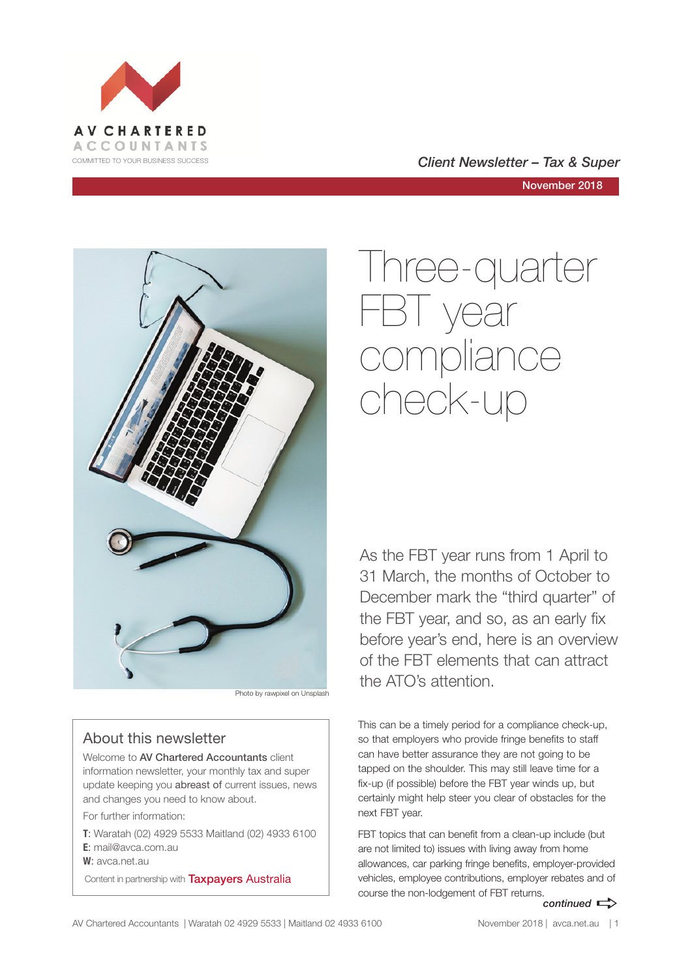

COMMITTED TO YOUR BUSINESS SUCCESS **COMMITTED TO YOUR BUSINESS SUCCESS** 

November 2018



Photo by rawpixel on Unsplash

### About this newsletter

Welcome to AV Chartered Accountants client information newsletter, your monthly tax and super update keeping you abreast of current issues, news and changes you need to know about.

For further information:

**T**: Waratah (02) 4929 5533 Maitland (02) 4933 6100 **E**: mail@avca.com.au

**W**: avca.net.au

Content in partnership with **Taxpayers Australia** 

# Three-quarter FBT year compliance check-up

As the FBT year runs from 1 April to 31 March, the months of October to December mark the "third quarter" of the FBT year, and so, as an early fix before year's end, here is an overview of the FBT elements that can attract the ATO's attention.

This can be a timely period for a compliance check-up, so that employers who provide fringe benefits to staff can have better assurance they are not going to be tapped on the shoulder. This may still leave time for a fix-up (if possible) before the FBT year winds up, but certainly might help steer you clear of obstacles for the next FBT year.

*continued*  $\Rightarrow$ FBT topics that can benefit from a clean-up include (but are not limited to) issues with living away from home allowances, car parking fringe benefits, employer-provided vehicles, employee contributions, employer rebates and of course the non-lodgement of FBT returns.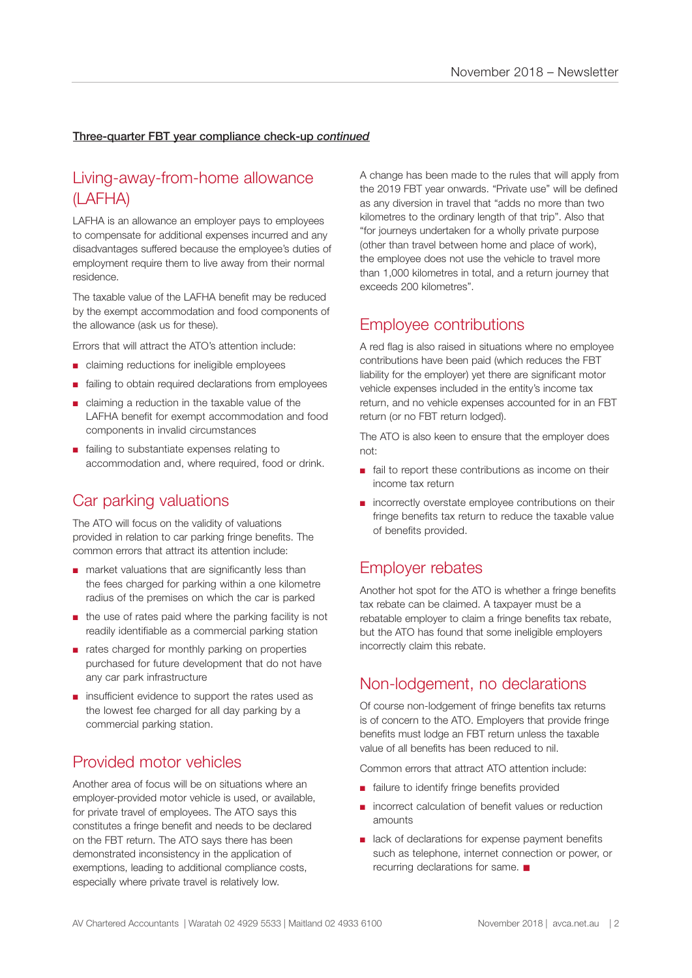### Three-quarter FBT year compliance check-up *continued*

# Living-away-from-home allowance (LAFHA)

LAFHA is an allowance an employer pays to employees to compensate for additional expenses incurred and any disadvantages suffered because the employee's duties of employment require them to live away from their normal residence.

The taxable value of the LAFHA benefit may be reduced by the exempt accommodation and food components of the allowance (ask us for these).

Errors that will attract the ATO's attention include:

- claiming reductions for ineligible employees
- failing to obtain required declarations from employees
- claiming a reduction in the taxable value of the LAFHA benefit for exempt accommodation and food components in invalid circumstances
- failing to substantiate expenses relating to accommodation and, where required, food or drink.

## Car parking valuations

The ATO will focus on the validity of valuations provided in relation to car parking fringe benefits. The common errors that attract its attention include:

- market valuations that are significantly less than the fees charged for parking within a one kilometre radius of the premises on which the car is parked
- the use of rates paid where the parking facility is not readily identifiable as a commercial parking station
- rates charged for monthly parking on properties purchased for future development that do not have any car park infrastructure
- insufficient evidence to support the rates used as the lowest fee charged for all day parking by a commercial parking station.

# Provided motor vehicles

Another area of focus will be on situations where an employer-provided motor vehicle is used, or available, for private travel of employees. The ATO says this constitutes a fringe benefit and needs to be declared on the FBT return. The ATO says there has been demonstrated inconsistency in the application of exemptions, leading to additional compliance costs, especially where private travel is relatively low.

A change has been made to the rules that will apply from the 2019 FBT year onwards. "Private use" will be defined as any diversion in travel that "adds no more than two kilometres to the ordinary length of that trip". Also that "for journeys undertaken for a wholly private purpose (other than travel between home and place of work), the employee does not use the vehicle to travel more than 1,000 kilometres in total, and a return journey that exceeds 200 kilometres".

### Employee contributions

A red flag is also raised in situations where no employee contributions have been paid (which reduces the FBT liability for the employer) yet there are significant motor vehicle expenses included in the entity's income tax return, and no vehicle expenses accounted for in an FBT return (or no FBT return lodged).

The ATO is also keen to ensure that the employer does not:

- fail to report these contributions as income on their income tax return
- incorrectly overstate employee contributions on their fringe benefits tax return to reduce the taxable value of benefits provided.

## Employer rebates

Another hot spot for the ATO is whether a fringe benefits tax rebate can be claimed. A taxpayer must be a rebatable employer to claim a fringe benefits tax rebate, but the ATO has found that some ineligible employers incorrectly claim this rebate.

### Non-lodgement, no declarations

Of course non-lodgement of fringe benefits tax returns is of concern to the ATO. Employers that provide fringe benefits must lodge an FBT return unless the taxable value of all benefits has been reduced to nil.

Common errors that attract ATO attention include:

- failure to identify fringe benefits provided
- incorrect calculation of benefit values or reduction amounts
- lack of declarations for expense payment benefits such as telephone, internet connection or power, or recurring declarations for same.  $\blacksquare$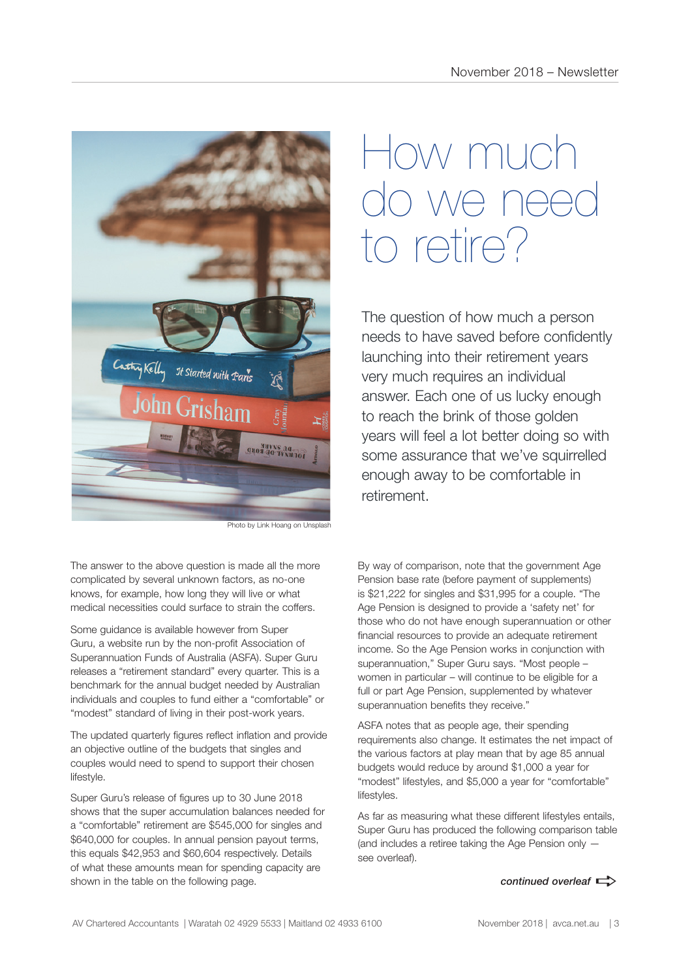

Photo by Link Hoang on Unsplash

The answer to the above question is made all the more complicated by several unknown factors, as no-one knows, for example, how long they will live or what medical necessities could surface to strain the coffers.

Some guidance is available however from Super Guru, a website run by the non-profit Association of Superannuation Funds of Australia (ASFA). Super Guru releases a "retirement standard" every quarter. This is a benchmark for the annual budget needed by Australian individuals and couples to fund either a "comfortable" or "modest" standard of living in their post-work years.

The updated quarterly figures reflect inflation and provide an objective outline of the budgets that singles and couples would need to spend to support their chosen lifestyle.

Super Guru's release of figures up to 30 June 2018 shows that the super accumulation balances needed for a "comfortable" retirement are \$545,000 for singles and \$640,000 for couples. In annual pension payout terms, this equals \$42,953 and \$60,604 respectively. Details of what these amounts mean for spending capacity are shown in the table on the following page.

# How much we n to retire?

The question of how much a person needs to have saved before confidently launching into their retirement years very much requires an individual answer. Each one of us lucky enough to reach the brink of those golden years will feel a lot better doing so with some assurance that we've squirrelled enough away to be comfortable in retirement.

By way of comparison, note that the government Age Pension base rate (before payment of supplements) is \$21,222 for singles and \$31,995 for a couple. "The Age Pension is designed to provide a 'safety net' for those who do not have enough superannuation or other financial resources to provide an adequate retirement income. So the Age Pension works in conjunction with superannuation," Super Guru says. "Most people – women in particular – will continue to be eligible for a full or part Age Pension, supplemented by whatever superannuation benefits they receive."

ASFA notes that as people age, their spending requirements also change. It estimates the net impact of the various factors at play mean that by age 85 annual budgets would reduce by around \$1,000 a year for "modest" lifestyles, and \$5,000 a year for "comfortable" lifestyles.

As far as measuring what these different lifestyles entails, Super Guru has produced the following comparison table (and includes a retiree taking the Age Pension only see overleaf).

*continued overleaf*  $\Rightarrow$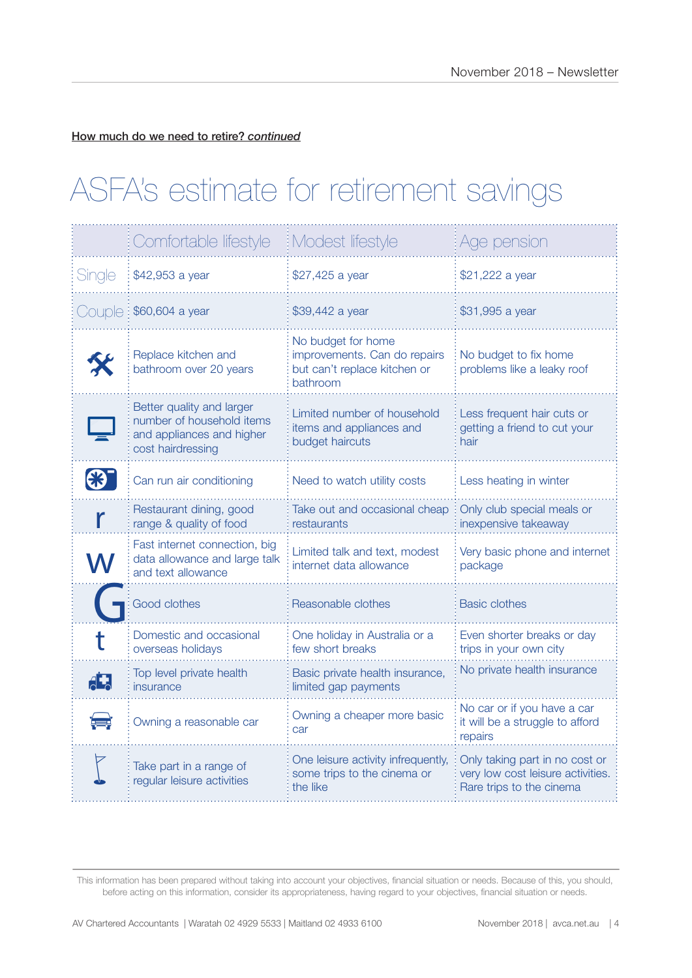How much do we need to retire? *continued*

# ASFA's estimate for retirement savings

|        | Comfortable lifestyle                                                                                    | Modest lifestyle                                                                               | Age pension                                                                                     |
|--------|----------------------------------------------------------------------------------------------------------|------------------------------------------------------------------------------------------------|-------------------------------------------------------------------------------------------------|
| Single | \$42,953 a year                                                                                          | \$27,425 a year                                                                                | \$21,222 a year                                                                                 |
|        | $\bigcirc$ uple : \$60,604 a year                                                                        | \$39,442 a year                                                                                | \$31,995 a year                                                                                 |
|        | Replace kitchen and<br>bathroom over 20 years                                                            | No budget for home<br>improvements. Can do repairs<br>but can't replace kitchen or<br>bathroom | No budget to fix home<br>problems like a leaky roof                                             |
|        | Better quality and larger<br>number of household items<br>and appliances and higher<br>cost hairdressing | Limited number of household<br>items and appliances and<br>budget haircuts                     | Less frequent hair cuts or<br>getting a friend to cut your<br>hair                              |
|        | Can run air conditioning                                                                                 | Need to watch utility costs                                                                    | Less heating in winter                                                                          |
|        | Restaurant dining, good<br>range & quality of food                                                       | Take out and occasional cheap<br>restaurants                                                   | Only club special meals or<br>inexpensive takeaway                                              |
|        | Fast internet connection, big<br>data allowance and large talk<br>and text allowance                     | Limited talk and text, modest<br>internet data allowance                                       | Very basic phone and internet<br>package                                                        |
|        | Good clothes                                                                                             | Reasonable clothes                                                                             | <b>Basic clothes</b>                                                                            |
|        | Domestic and occasional<br>overseas holidays                                                             | One holiday in Australia or a<br>few short breaks                                              | Even shorter breaks or day<br>trips in your own city                                            |
| $A^+$  | Top level private health<br>insurance                                                                    | Basic private health insurance,<br>limited gap payments                                        | No private health insurance                                                                     |
|        | Owning a reasonable car                                                                                  | Owning a cheaper more basic<br>car                                                             | No car or if you have a car<br>it will be a struggle to afford<br>repairs                       |
|        | Take part in a range of<br>regular leisure activities                                                    | One leisure activity infrequently,<br>some trips to the cinema or<br>the like                  | Only taking part in no cost or<br>very low cost leisure activities.<br>Rare trips to the cinema |

This information has been prepared without taking into account your objectives, financial situation or needs. Because of this, you should, before acting on this information, consider its appropriateness, having regard to your objectives, financial situation or needs.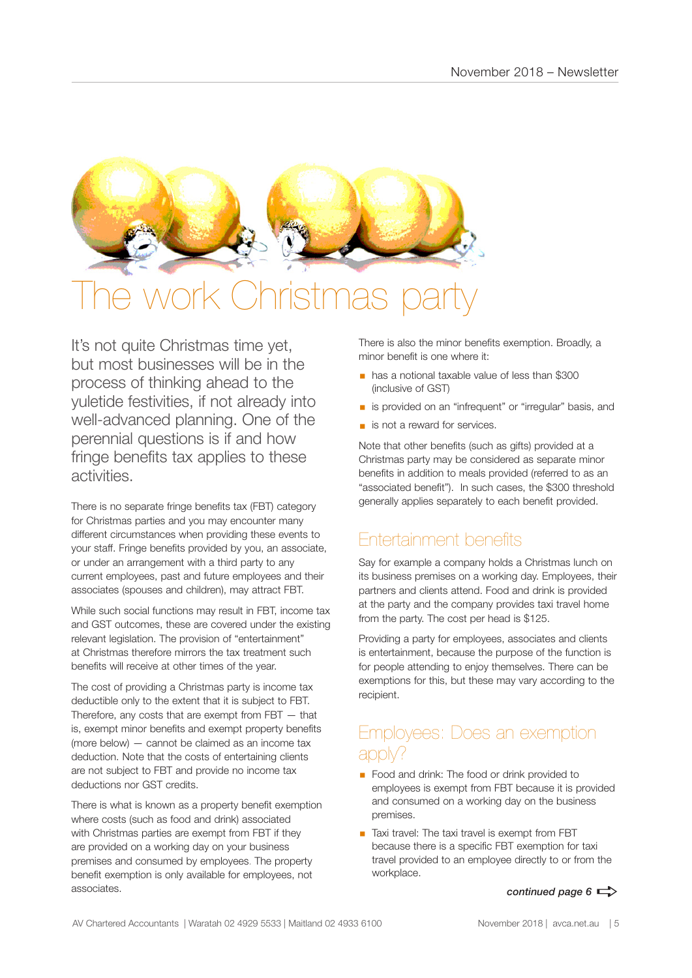

# **Istmas pa**

It's not quite Christmas time yet, but most businesses will be in the process of thinking ahead to the yuletide festivities, if not already into well-advanced planning. One of the perennial questions is if and how fringe benefits tax applies to these activities.

There is no separate fringe benefits tax (FBT) category for Christmas parties and you may encounter many different circumstances when providing these events to your staff. Fringe benefits provided by you, an associate, or under an arrangement with a third party to any current employees, past and future employees and their associates (spouses and children), may attract FBT.

While such social functions may result in FBT, income tax and GST outcomes, these are covered under the existing relevant legislation. The provision of "entertainment" at Christmas therefore mirrors the tax treatment such benefits will receive at other times of the year.

The cost of providing a Christmas party is income tax deductible only to the extent that it is subject to FBT. Therefore, any costs that are exempt from  $FBT - that$ is, exempt minor benefits and exempt property benefits (more below) — cannot be claimed as an income tax deduction. Note that the costs of entertaining clients are not subject to FBT and provide no income tax deductions nor GST credits.

There is what is known as a property benefit exemption where costs (such as food and drink) associated with Christmas parties are exempt from FBT if they are provided on a working day on your business premises and consumed by employees. The property benefit exemption is only available for employees, not associates.

There is also the minor benefits exemption. Broadly, a minor benefit is one where it:

- § has a notional taxable value of less than \$300 (inclusive of GST)
- is provided on an "infrequent" or "irregular" basis, and
- is not a reward for services.

Note that other benefits (such as gifts) provided at a Christmas party may be considered as separate minor benefits in addition to meals provided (referred to as an "associated benefit"). In such cases, the \$300 threshold generally applies separately to each benefit provided.

# Entertainment benefits

Say for example a company holds a Christmas lunch on its business premises on a working day. Employees, their partners and clients attend. Food and drink is provided at the party and the company provides taxi travel home from the party. The cost per head is \$125.

Providing a party for employees, associates and clients is entertainment, because the purpose of the function is for people attending to enjoy themselves. There can be exemptions for this, but these may vary according to the recipient.

# Employees: Does an exemption apply?

- Food and drink: The food or drink provided to employees is exempt from FBT because it is provided and consumed on a working day on the business premises.
- Taxi travel: The taxi travel is exempt from FBT because there is a specific FBT exemption for taxi travel provided to an employee directly to or from the workplace.

*continued page 6*  $\Rightarrow$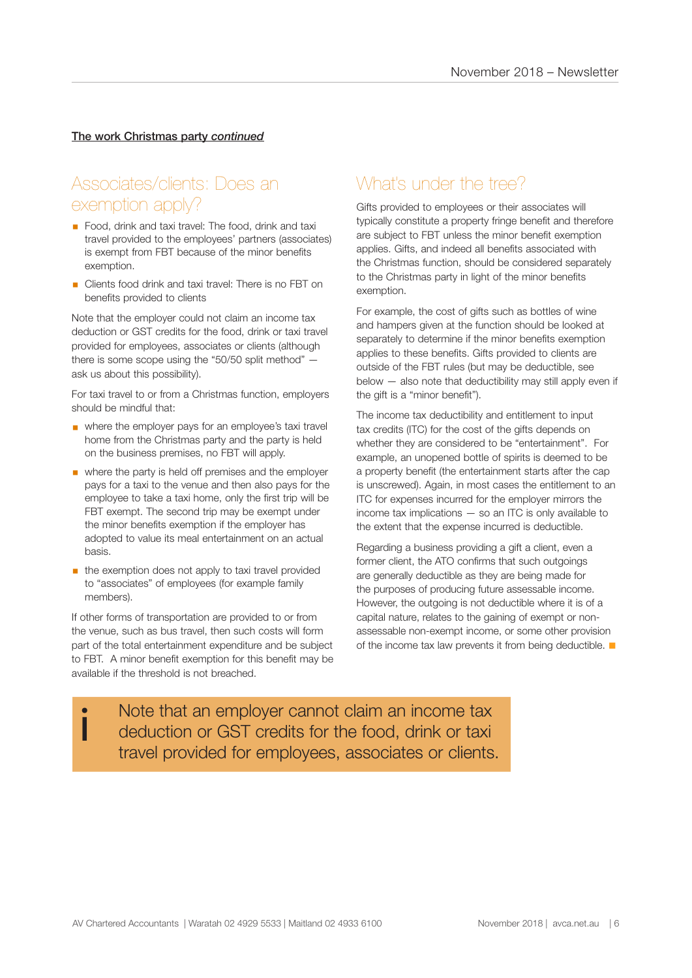#### The work Christmas party *continued*

# Associates/clients: Does an exemption apply?

- Food, drink and taxi travel: The food, drink and taxi travel provided to the employees' partners (associates) is exempt from FBT because of the minor benefits exemption.
- Clients food drink and taxi travel: There is no FBT on benefits provided to clients

Note that the employer could not claim an income tax deduction or GST credits for the food, drink or taxi travel provided for employees, associates or clients (although there is some scope using the "50/50 split method" ask us about this possibility).

For taxi travel to or from a Christmas function, employers should be mindful that:

- where the employer pays for an employee's taxi travel home from the Christmas party and the party is held on the business premises, no FBT will apply.
- where the party is held off premises and the employer pays for a taxi to the venue and then also pays for the employee to take a taxi home, only the first trip will be FBT exempt. The second trip may be exempt under the minor benefits exemption if the employer has adopted to value its meal entertainment on an actual basis.
- $\blacksquare$  the exemption does not apply to taxi travel provided to "associates" of employees (for example family members).

If other forms of transportation are provided to or from the venue, such as bus travel, then such costs will form part of the total entertainment expenditure and be subject to FBT. A minor benefit exemption for this benefit may be available if the threshold is not breached.

# What's under the tree?

Gifts provided to employees or their associates will typically constitute a property fringe benefit and therefore are subject to FBT unless the minor benefit exemption applies. Gifts, and indeed all benefits associated with the Christmas function, should be considered separately to the Christmas party in light of the minor benefits exemption.

For example, the cost of gifts such as bottles of wine and hampers given at the function should be looked at separately to determine if the minor benefits exemption applies to these benefits. Gifts provided to clients are outside of the FBT rules (but may be deductible, see below — also note that deductibility may still apply even if the gift is a "minor benefit").

The income tax deductibility and entitlement to input tax credits (ITC) for the cost of the gifts depends on whether they are considered to be "entertainment". For example, an unopened bottle of spirits is deemed to be a property benefit (the entertainment starts after the cap is unscrewed). Again, in most cases the entitlement to an ITC for expenses incurred for the employer mirrors the income tax implications — so an ITC is only available to the extent that the expense incurred is deductible.

Regarding a business providing a gift a client, even a former client, the ATO confirms that such outgoings are generally deductible as they are being made for the purposes of producing future assessable income. However, the outgoing is not deductible where it is of a capital nature, relates to the gaining of exempt or nonassessable non-exempt income, or some other provision of the income tax law prevents it from being deductible.  $\blacksquare$ 

I Note that an employer cannot claim an income tax<br>deduction or GST credits for the food, drink or taxi<br>travel are ideal for employees, associates ar clients deduction or GST credits for the food, drink or taxi travel provided for employees, associates or clients.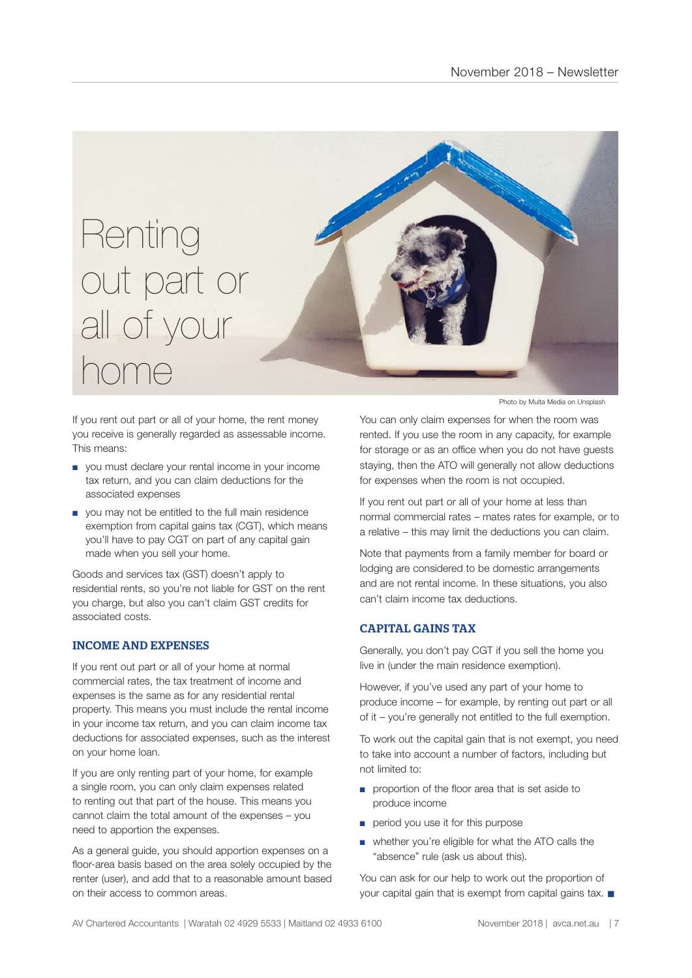

If you rent out part or all of your home, the rent money you receive is generally regarded as assessable income. This means:

- you must declare your rental income in your income tax return, and you can claim deductions for the associated expenses
- you may not be entitled to the full main residence exemption from capital gains tax (CGT), which means you'll have to pay CGT on part of any capital gain made when you sell your home.

Goods and services tax (GST) doesn't apply to residential rents, so you're not liable for GST on the rent you charge, but also you can't claim GST credits for associated costs.

### INCOME AND EXPENSES

If you rent out part or all of your home at normal commercial rates, the tax treatment of income and expenses is the same as for any residential rental property. This means you must include the rental income in your income tax return, and you can claim income tax deductions for associated expenses, such as the interest on your home loan.

If you are only renting part of your home, for example a single room, you can only claim expenses related to renting out that part of the house. This means you cannot claim the total amount of the expenses – you need to apportion the expenses.

As a general guide, you should apportion expenses on a floor-area basis based on the area solely occupied by the renter (user), and add that to a reasonable amount based on their access to common areas.

Photo by Multa Media on Unsplash

You can only claim expenses for when the room was rented. If you use the room in any capacity, for example for storage or as an office when you do not have guests staying, then the ATO will generally not allow deductions for expenses when the room is not occupied.

If you rent out part or all of your home at less than normal commercial rates – mates rates for example, or to a relative – this may limit the deductions you can claim.

Note that payments from a family member for board or lodging are considered to be domestic arrangements and are not rental income. In these situations, you also can't claim income tax deductions.

### CAPITAL GAINS TAX

Generally, you don't pay CGT if you sell the home you live in (under the main residence exemption).

However, if you've used any part of your home to produce income – for example, by renting out part or all of it – you're generally not entitled to the full exemption.

To work out the capital gain that is not exempt, you need to take into account a number of factors, including but not limited to:

- proportion of the floor area that is set aside to produce income
- period you use it for this purpose
- whether you're eligible for what the ATO calls the "absence" rule (ask us about this).

You can ask for our help to work out the proportion of your capital gain that is exempt from capital gains tax.  $\blacksquare$